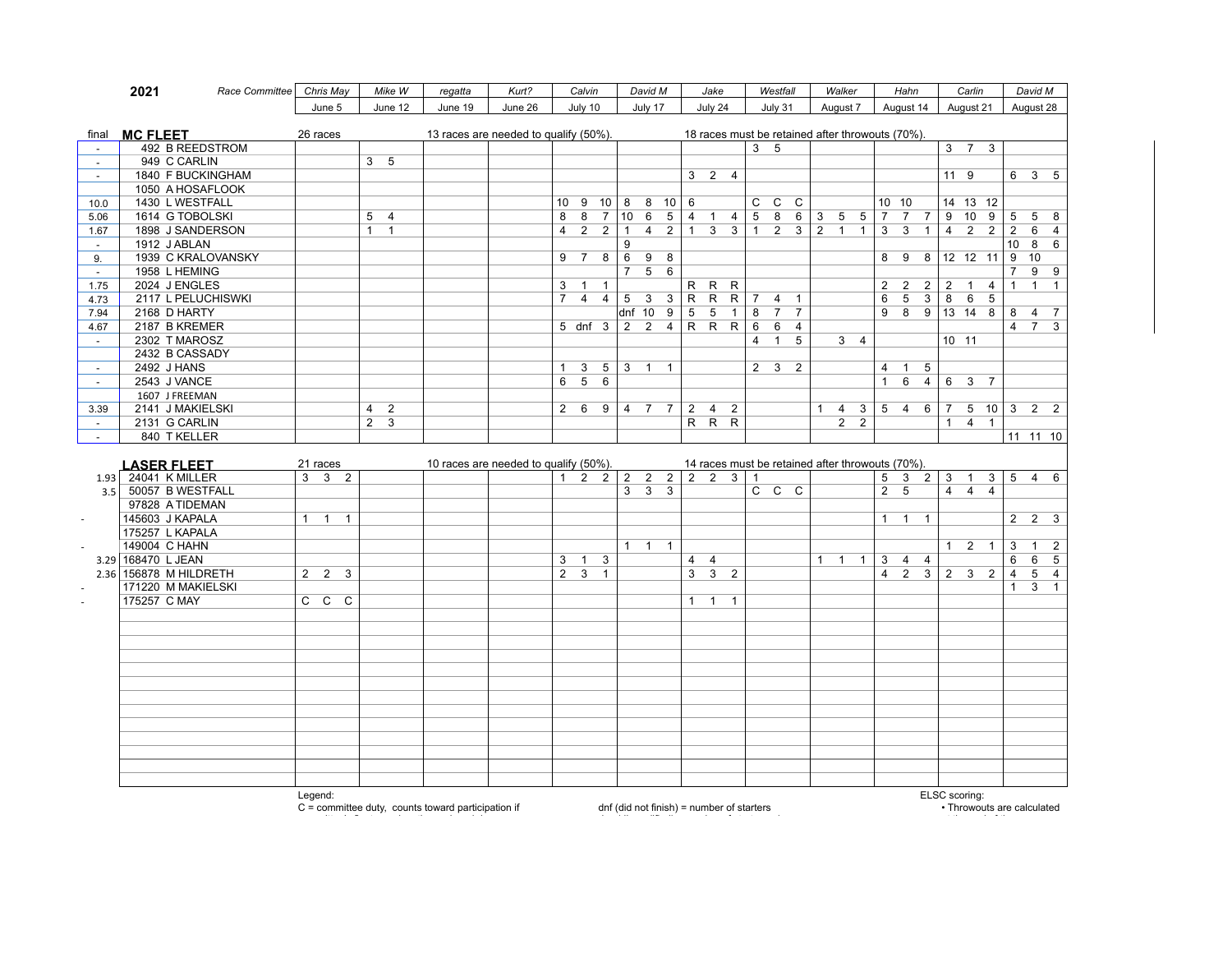|                          | 2021<br>Race Committee              | Chris May           | Mike W           | regatta                               | Kurt?   | Calvin                                             | David M                                          | Jake                                                    | Westfall                                                                      | Walker                                     | Hahn                                                          | Carlin                                             | David M                          |
|--------------------------|-------------------------------------|---------------------|------------------|---------------------------------------|---------|----------------------------------------------------|--------------------------------------------------|---------------------------------------------------------|-------------------------------------------------------------------------------|--------------------------------------------|---------------------------------------------------------------|----------------------------------------------------|----------------------------------|
|                          |                                     | June 5              | June 12          | June 19                               | June 26 | July 10                                            | July 17                                          | July 24                                                 | July 31                                                                       | August 7                                   | August 14                                                     | August 21                                          | August 28                        |
|                          |                                     |                     |                  |                                       |         |                                                    |                                                  |                                                         |                                                                               |                                            |                                                               |                                                    |                                  |
| final                    | <b>MC FLEET</b>                     | 26 races            |                  | 13 races are needed to qualify (50%). |         |                                                    |                                                  |                                                         | 18 races must be retained after throwouts (70%).                              |                                            |                                                               |                                                    |                                  |
| $\sim$                   | 492 B REEDSTROM                     |                     |                  |                                       |         |                                                    |                                                  |                                                         | 3 <sub>5</sub>                                                                |                                            |                                                               | $3 \quad 7 \quad 3$                                |                                  |
| $\sim$                   | 949 C CARLIN                        |                     | 3 <sub>5</sub>   |                                       |         |                                                    |                                                  |                                                         |                                                                               |                                            |                                                               |                                                    |                                  |
| $\sim$                   | 1840 F BUCKINGHAM                   |                     |                  |                                       |         |                                                    |                                                  | $3 \quad 2 \quad 4$                                     |                                                                               |                                            |                                                               | 11 9                                               | 6 3 5                            |
|                          | 1050 A HOSAFLOOK                    |                     |                  |                                       |         |                                                    |                                                  |                                                         |                                                                               |                                            |                                                               |                                                    |                                  |
| 10.0                     | 1430 L WESTFALL<br>1614 G TOBOLSKI  |                     | 5 <sub>4</sub>   |                                       |         | 9 10<br>10<br>8<br>8<br>$\overline{7}$             | 8<br>$8 \t10$<br>10<br>6<br>$5\overline{5}$      | 6<br>$\overline{4}$<br>$\overline{1}$<br>$\overline{4}$ | $\overline{C}$<br>$\overline{C}$<br>$\mathsf{C}$<br>$5\overline{5}$<br>8<br>6 |                                            | 10 10<br>$7^{\circ}$<br>7 7 9                                 | 14 13 12<br>10<br>9                                | 5<br>$5\quad 8$                  |
| 5.06<br>1.67             | 1898 J SANDERSON                    |                     | $1 \quad 1$      |                                       |         | $\overline{2}$<br>2<br>$\overline{4}$              | $\overline{1}$<br>$\overline{4}$<br>2            | $\mathbf{1}$<br>3 <sup>3</sup>                          | $\begin{array}{c cc} 1 & 2 & 3 \end{array}$                                   | $3 \quad 5 \quad 5$<br>$2 \quad 1 \quad 1$ | $\overline{3}$<br>3<br>$\overline{1}$                         | $\overline{2}$<br>$\overline{2}$<br>$\overline{4}$ | 2<br>6<br>$\overline{4}$         |
| $\sim$                   | 1912 J ABLAN                        |                     |                  |                                       |         |                                                    | 9                                                |                                                         |                                                                               |                                            |                                                               |                                                    | 8<br>10<br>6                     |
| 9.                       | 1939 C KRALOVANSKY                  |                     |                  |                                       |         | 8<br>$\overline{7}$<br>9                           | 6<br>9<br>8                                      |                                                         |                                                                               |                                            | 8                                                             | $9 \t8 \t12 \t12 \t11$                             | 9<br>10                          |
| $\sim$                   | 1958 L HEMING                       |                     |                  |                                       |         |                                                    | $5\overline{)}$<br>6<br>$\overline{7}$           |                                                         |                                                                               |                                            |                                                               |                                                    | 99<br>7                          |
| 1.75                     | 2024 J ENGLES                       |                     |                  |                                       |         | 3<br>$\overline{1}$<br>$\mathbf{1}$                |                                                  | R R<br>R                                                |                                                                               |                                            | 2<br>$\overline{2}$<br>2 <sup>1</sup>                         | $\overline{2}$<br>$\mathbf{1}$<br>$\overline{4}$   | $1 \quad 1$<br>$\mathbf{1}$      |
| 4.73                     | 2117 L PELUCHISWKI                  |                     |                  |                                       |         | $\overline{7}$<br>$\overline{4}$<br>$\overline{4}$ | 5<br>3 <sup>7</sup><br>$\mathbf{3}$              | $R$ $R$<br>R                                            | $7 \quad 4$<br>$\overline{1}$                                                 |                                            | $6\overline{6}$<br>$5\overline{)}$<br>$\overline{\mathbf{3}}$ | $6\overline{}$<br>5<br>8                           |                                  |
| 7.94                     | 2168 D HARTY                        |                     |                  |                                       |         |                                                    | dnf 10 9                                         | 5<br>5<br>$\mathbf{1}$                                  | 8<br>$7\overline{ }$<br>$\overline{7}$                                        |                                            | 9                                                             | 8 9 13 14 8                                        | 8<br>4 7                         |
| 4.67                     | 2187 B KREMER                       |                     |                  |                                       |         | 5 dnf 3                                            | 2                                                | 2 4 R R R                                               | 6<br>6<br>$\overline{4}$                                                      |                                            |                                                               |                                                    | 7 <sup>3</sup><br>$\overline{4}$ |
| $\sim$                   | 2302 T MAROSZ                       |                     |                  |                                       |         |                                                    |                                                  |                                                         | $\overline{4}$<br>$\mathbf{1}$<br>5                                           | $3 \quad 4$                                |                                                               | 10 11                                              |                                  |
|                          | 2432 B CASSADY                      |                     |                  |                                       |         |                                                    |                                                  |                                                         |                                                                               |                                            |                                                               |                                                    |                                  |
| $\overline{\phantom{a}}$ | 2492 J HANS                         |                     |                  |                                       |         | $\mathbf{3}$<br>$5^{\circ}$<br>$\mathbf{1}$        | $3 \quad 1$<br>$\overline{1}$                    |                                                         | $2 \quad 3$<br>2                                                              |                                            | $\overline{4}$<br>1 5                                         |                                                    |                                  |
| $\sim$                   | 2543 J VANCE                        |                     |                  |                                       |         | 6<br>$5^{\circ}$<br>6                              |                                                  |                                                         |                                                                               |                                            | $\mathbf{1}$                                                  | 64637                                              |                                  |
|                          | 1607 J FREEMAN                      |                     |                  |                                       |         |                                                    |                                                  |                                                         |                                                                               |                                            |                                                               |                                                    |                                  |
| 3.39                     | 2141 J MAKIELSKI                    |                     | $4\quad 2$       |                                       |         | $2 \quad 6$<br>9                                   | 4 7 7 2                                          | $\overline{2}$<br>$\overline{4}$                        |                                                                               | $\mathbf{3}$<br>$\mathbf{1}$<br>4          |                                                               | $5 \t4 \t6 \t7 \t5 \t10 \t3$                       | 2 <sub>2</sub>                   |
| $\sim$                   | 2131 G CARLIN                       |                     | $2 \overline{3}$ |                                       |         |                                                    |                                                  | $R$ $R$ $R$                                             |                                                                               | $2 \quad 2$                                |                                                               | $4 \quad 1$<br>1                                   |                                  |
| $\sim$                   | 840 T KELLER                        |                     |                  |                                       |         |                                                    |                                                  |                                                         |                                                                               |                                            |                                                               |                                                    | 11 11 10                         |
|                          |                                     |                     |                  |                                       |         |                                                    |                                                  |                                                         |                                                                               |                                            |                                                               |                                                    |                                  |
|                          | <b>LASER FLEET</b>                  | 21 races            |                  | 10 races are needed to qualify (50%). |         |                                                    |                                                  |                                                         | 14 races must be retained after throwouts (70%).                              |                                            |                                                               |                                                    |                                  |
| 1.93                     | 24041 K MILLER                      | $3 \quad 3 \quad 2$ |                  |                                       |         | $1 \quad 2 \quad 2$                                | $2 \quad 2 \quad 2 \quad 2 \quad 2$              | 3 <sup>1</sup>                                          | $\mathbf{1}$                                                                  |                                            | 5<br>3 <sup>1</sup><br>2 <sup>1</sup>                         | 3<br>$\mathbf{3}$<br>$\mathbf{1}$                  | $5\quad 4\quad 6$                |
| 3.5                      | 50057 B WESTFALL<br>97828 A TIDEMAN |                     |                  |                                       |         |                                                    | 3 <sup>1</sup><br>$\overline{3}$<br>$\mathbf{3}$ |                                                         | $C$ $C$ $C$                                                                   |                                            | $2^{\circ}$<br>5                                              | $\overline{4}$<br>$\overline{4}$<br>$\overline{4}$ |                                  |
|                          | 145603 J KAPALA                     | $1 \quad 1 \quad 1$ |                  |                                       |         |                                                    |                                                  |                                                         |                                                                               |                                            | $1 \quad 1 \quad 1$                                           |                                                    | $2\quad 2\quad 3$                |
| ÷.                       | 175257 L KAPALA                     |                     |                  |                                       |         |                                                    |                                                  |                                                         |                                                                               |                                            |                                                               |                                                    |                                  |
|                          | 149004 C HAHN                       |                     |                  |                                       |         |                                                    | $\overline{1}$<br>$1 \quad 1$                    |                                                         |                                                                               |                                            |                                                               | $1\quad 2$<br>$\overline{1}$                       | 3<br>$1\quad 2$                  |
|                          | 3.29 168470 L JEAN                  |                     |                  |                                       |         | $\mathbf{3}$<br>$\overline{1}$<br>3                |                                                  | $\overline{4}$<br>$\overline{4}$                        |                                                                               | $1 \quad 1 \quad 1$                        | $\overline{3}$<br>$4 \quad 4$                                 |                                                    | 6<br>5<br>6                      |
|                          | 2.36 156878 M HILDRETH              | $2\quad 2\quad 3$   |                  |                                       |         | $2 \overline{3}$<br>$\mathbf{1}$                   |                                                  | $\overline{3}$<br>3 <sup>7</sup><br>$\overline{2}$      |                                                                               |                                            | $\overline{4}$                                                |                                                    | $5\quad 4$<br>$\overline{4}$     |
|                          | 171220 M MAKIELSKI                  |                     |                  |                                       |         |                                                    |                                                  |                                                         |                                                                               |                                            |                                                               |                                                    | $3 \quad 1$<br>$\mathbf{1}$      |
| $\sim$                   | 175257 C MAY                        | $C$ $C$ $C$         |                  |                                       |         |                                                    |                                                  | 1<br>$\overline{1}$<br>$\mathbf{1}$                     |                                                                               |                                            |                                                               |                                                    |                                  |
|                          |                                     |                     |                  |                                       |         |                                                    |                                                  |                                                         |                                                                               |                                            |                                                               |                                                    |                                  |
|                          |                                     |                     |                  |                                       |         |                                                    |                                                  |                                                         |                                                                               |                                            |                                                               |                                                    |                                  |
|                          |                                     |                     |                  |                                       |         |                                                    |                                                  |                                                         |                                                                               |                                            |                                                               |                                                    |                                  |
|                          |                                     |                     |                  |                                       |         |                                                    |                                                  |                                                         |                                                                               |                                            |                                                               |                                                    |                                  |
|                          |                                     |                     |                  |                                       |         |                                                    |                                                  |                                                         |                                                                               |                                            |                                                               |                                                    |                                  |
|                          |                                     |                     |                  |                                       |         |                                                    |                                                  |                                                         |                                                                               |                                            |                                                               |                                                    |                                  |
|                          |                                     |                     |                  |                                       |         |                                                    |                                                  |                                                         |                                                                               |                                            |                                                               |                                                    |                                  |
|                          |                                     |                     |                  |                                       |         |                                                    |                                                  |                                                         |                                                                               |                                            |                                                               |                                                    |                                  |
|                          |                                     |                     |                  |                                       |         |                                                    |                                                  |                                                         |                                                                               |                                            |                                                               |                                                    |                                  |
|                          |                                     |                     |                  |                                       |         |                                                    |                                                  |                                                         |                                                                               |                                            |                                                               |                                                    |                                  |
|                          |                                     |                     |                  |                                       |         |                                                    |                                                  |                                                         |                                                                               |                                            |                                                               |                                                    |                                  |
|                          |                                     |                     |                  |                                       |         |                                                    |                                                  |                                                         |                                                                               |                                            |                                                               |                                                    |                                  |
|                          |                                     |                     |                  |                                       |         |                                                    |                                                  |                                                         |                                                                               |                                            |                                                               |                                                    |                                  |
|                          |                                     | Legend:             |                  |                                       |         |                                                    |                                                  |                                                         |                                                                               |                                            |                                                               | ELSC scoring:                                      |                                  |

C = committee duty, counts toward participation if

committee's fleet raced on the assigned day.

dnf (did not finish) = number of starters dsq (disqualified) = number of starters +1

• Throwouts are calculated at the end of the season.